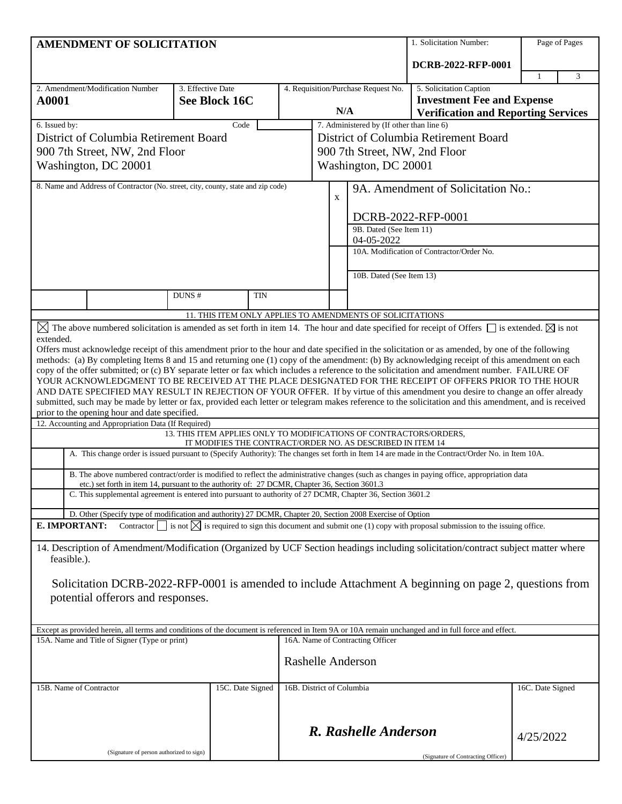| <b>AMENDMENT OF SOLICITATION</b>                                                 |                                                                                                                                                  |                   |                                                                                                                                  |                                            | 1. Solicitation Number:                   | Page of Pages                             |                                                                                                                                                                                                                                                         |                  |  |
|----------------------------------------------------------------------------------|--------------------------------------------------------------------------------------------------------------------------------------------------|-------------------|----------------------------------------------------------------------------------------------------------------------------------|--------------------------------------------|-------------------------------------------|-------------------------------------------|---------------------------------------------------------------------------------------------------------------------------------------------------------------------------------------------------------------------------------------------------------|------------------|--|
|                                                                                  |                                                                                                                                                  |                   |                                                                                                                                  |                                            |                                           |                                           | DCRB-2022-RFP-0001                                                                                                                                                                                                                                      |                  |  |
|                                                                                  |                                                                                                                                                  |                   |                                                                                                                                  |                                            |                                           |                                           |                                                                                                                                                                                                                                                         | 3<br>1           |  |
| A0001                                                                            | 2. Amendment/Modification Number                                                                                                                 | 3. Effective Date | See Block 16C                                                                                                                    | 4. Requisition/Purchase Request No.<br>N/A |                                           |                                           | 5. Solicitation Caption<br><b>Investment Fee and Expense</b><br><b>Verification and Reporting Services</b>                                                                                                                                              |                  |  |
| 6. Issued by:<br>Code                                                            |                                                                                                                                                  |                   |                                                                                                                                  |                                            | 7. Administered by (If other than line 6) |                                           |                                                                                                                                                                                                                                                         |                  |  |
|                                                                                  | District of Columbia Retirement Board                                                                                                            |                   |                                                                                                                                  |                                            | District of Columbia Retirement Board     |                                           |                                                                                                                                                                                                                                                         |                  |  |
|                                                                                  | 900 7th Street, NW, 2nd Floor                                                                                                                    |                   |                                                                                                                                  |                                            | 900 7th Street, NW, 2nd Floor             |                                           |                                                                                                                                                                                                                                                         |                  |  |
| Washington, DC 20001                                                             |                                                                                                                                                  |                   |                                                                                                                                  |                                            | Washington, DC 20001                      |                                           |                                                                                                                                                                                                                                                         |                  |  |
| 8. Name and Address of Contractor (No. street, city, county, state and zip code) |                                                                                                                                                  |                   |                                                                                                                                  | $\mathbf X$                                |                                           | 9A. Amendment of Solicitation No.:        |                                                                                                                                                                                                                                                         |                  |  |
|                                                                                  |                                                                                                                                                  |                   |                                                                                                                                  | DCRB-2022-RFP-0001                         |                                           |                                           |                                                                                                                                                                                                                                                         |                  |  |
|                                                                                  |                                                                                                                                                  |                   |                                                                                                                                  |                                            |                                           | 9B. Dated (See Item 11)<br>04-05-2022     |                                                                                                                                                                                                                                                         |                  |  |
|                                                                                  |                                                                                                                                                  |                   |                                                                                                                                  |                                            |                                           | 10A. Modification of Contractor/Order No. |                                                                                                                                                                                                                                                         |                  |  |
|                                                                                  |                                                                                                                                                  |                   |                                                                                                                                  |                                            |                                           | 10B. Dated (See Item 13)                  |                                                                                                                                                                                                                                                         |                  |  |
|                                                                                  |                                                                                                                                                  | DUNS#             | TIN                                                                                                                              |                                            |                                           |                                           |                                                                                                                                                                                                                                                         |                  |  |
|                                                                                  |                                                                                                                                                  |                   | 11. THIS ITEM ONLY APPLIES TO AMENDMENTS OF SOLICITATIONS                                                                        |                                            |                                           |                                           |                                                                                                                                                                                                                                                         |                  |  |
| extended.                                                                        |                                                                                                                                                  |                   |                                                                                                                                  |                                            |                                           |                                           | $\boxtimes$ The above numbered solicitation is amended as set forth in item 14. The hour and date specified for receipt of Offers $\Box$ is extended. $\boxtimes$ is not                                                                                |                  |  |
|                                                                                  |                                                                                                                                                  |                   |                                                                                                                                  |                                            |                                           |                                           | Offers must acknowledge receipt of this amendment prior to the hour and date specified in the solicitation or as amended, by one of the following                                                                                                       |                  |  |
|                                                                                  |                                                                                                                                                  |                   |                                                                                                                                  |                                            |                                           |                                           | methods: (a) By completing Items 8 and 15 and returning one (1) copy of the amendment: (b) By acknowledging receipt of this amendment on each                                                                                                           |                  |  |
|                                                                                  |                                                                                                                                                  |                   |                                                                                                                                  |                                            |                                           |                                           | copy of the offer submitted; or (c) BY separate letter or fax which includes a reference to the solicitation and amendment number. FAILURE OF<br>YOUR ACKNOWLEDGMENT TO BE RECEIVED AT THE PLACE DESIGNATED FOR THE RECEIPT OF OFFERS PRIOR TO THE HOUR |                  |  |
|                                                                                  |                                                                                                                                                  |                   |                                                                                                                                  |                                            |                                           |                                           | AND DATE SPECIFIED MAY RESULT IN REJECTION OF YOUR OFFER. If by virtue of this amendment you desire to change an offer already                                                                                                                          |                  |  |
|                                                                                  |                                                                                                                                                  |                   |                                                                                                                                  |                                            |                                           |                                           | submitted, such may be made by letter or fax, provided each letter or telegram makes reference to the solicitation and this amendment, and is received                                                                                                  |                  |  |
|                                                                                  | prior to the opening hour and date specified.<br>12. Accounting and Appropriation Data (If Required)                                             |                   |                                                                                                                                  |                                            |                                           |                                           |                                                                                                                                                                                                                                                         |                  |  |
|                                                                                  |                                                                                                                                                  |                   | 13. THIS ITEM APPLIES ONLY TO MODIFICATIONS OF CONTRACTORS/ORDERS,<br>IT MODIFIES THE CONTRACT/ORDER NO. AS DESCRIBED IN ITEM 14 |                                            |                                           |                                           |                                                                                                                                                                                                                                                         |                  |  |
|                                                                                  |                                                                                                                                                  |                   |                                                                                                                                  |                                            |                                           |                                           | A. This change order is issued pursuant to (Specify Authority): The changes set forth in Item 14 are made in the Contract/Order No. in Item 10A.                                                                                                        |                  |  |
|                                                                                  | etc.) set forth in item 14, pursuant to the authority of: 27 DCMR, Chapter 36, Section 3601.3                                                    |                   |                                                                                                                                  |                                            |                                           |                                           | B. The above numbered contract/order is modified to reflect the administrative changes (such as changes in paying office, appropriation data                                                                                                            |                  |  |
|                                                                                  | C. This supplemental agreement is entered into pursuant to authority of 27 DCMR, Chapter 36, Section 3601.2                                      |                   |                                                                                                                                  |                                            |                                           |                                           |                                                                                                                                                                                                                                                         |                  |  |
|                                                                                  | D. Other (Specify type of modification and authority) 27 DCMR, Chapter 20, Section 2008 Exercise of Option                                       |                   |                                                                                                                                  |                                            |                                           |                                           |                                                                                                                                                                                                                                                         |                  |  |
|                                                                                  | E. IMPORTANT:                                                                                                                                    |                   |                                                                                                                                  |                                            |                                           |                                           | Contractor $\Box$ is not $\boxtimes$ is required to sign this document and submit one (1) copy with proposal submission to the issuing office.                                                                                                          |                  |  |
|                                                                                  | 14. Description of Amendment/Modification (Organized by UCF Section headings including solicitation/contract subject matter where<br>feasible.). |                   |                                                                                                                                  |                                            |                                           |                                           |                                                                                                                                                                                                                                                         |                  |  |
|                                                                                  |                                                                                                                                                  |                   |                                                                                                                                  |                                            |                                           |                                           |                                                                                                                                                                                                                                                         |                  |  |
|                                                                                  | potential offerors and responses.                                                                                                                |                   |                                                                                                                                  |                                            |                                           |                                           | Solicitation DCRB-2022-RFP-0001 is amended to include Attachment A beginning on page 2, questions from                                                                                                                                                  |                  |  |
|                                                                                  |                                                                                                                                                  |                   |                                                                                                                                  |                                            |                                           |                                           |                                                                                                                                                                                                                                                         |                  |  |
|                                                                                  |                                                                                                                                                  |                   |                                                                                                                                  |                                            |                                           |                                           |                                                                                                                                                                                                                                                         |                  |  |
|                                                                                  | 15A. Name and Title of Signer (Type or print)                                                                                                    |                   |                                                                                                                                  |                                            |                                           | 16A. Name of Contracting Officer          | Except as provided herein, all terms and conditions of the document is referenced in Item 9A or 10A remain unchanged and in full force and effect.                                                                                                      |                  |  |
|                                                                                  |                                                                                                                                                  |                   |                                                                                                                                  |                                            |                                           |                                           |                                                                                                                                                                                                                                                         |                  |  |
|                                                                                  |                                                                                                                                                  |                   |                                                                                                                                  | <b>Rashelle Anderson</b>                   |                                           |                                           |                                                                                                                                                                                                                                                         |                  |  |
|                                                                                  | 15B. Name of Contractor                                                                                                                          |                   | 15C. Date Signed                                                                                                                 |                                            | 16B. District of Columbia                 |                                           |                                                                                                                                                                                                                                                         | 16C. Date Signed |  |
|                                                                                  |                                                                                                                                                  |                   |                                                                                                                                  |                                            |                                           |                                           |                                                                                                                                                                                                                                                         |                  |  |
|                                                                                  |                                                                                                                                                  |                   |                                                                                                                                  |                                            |                                           |                                           |                                                                                                                                                                                                                                                         |                  |  |
|                                                                                  |                                                                                                                                                  |                   |                                                                                                                                  |                                            |                                           | R. Rashelle Anderson                      |                                                                                                                                                                                                                                                         | 4/25/2022        |  |
|                                                                                  | (Signature of person authorized to sign)                                                                                                         |                   |                                                                                                                                  |                                            |                                           |                                           | (Signature of Contracting Officer)                                                                                                                                                                                                                      |                  |  |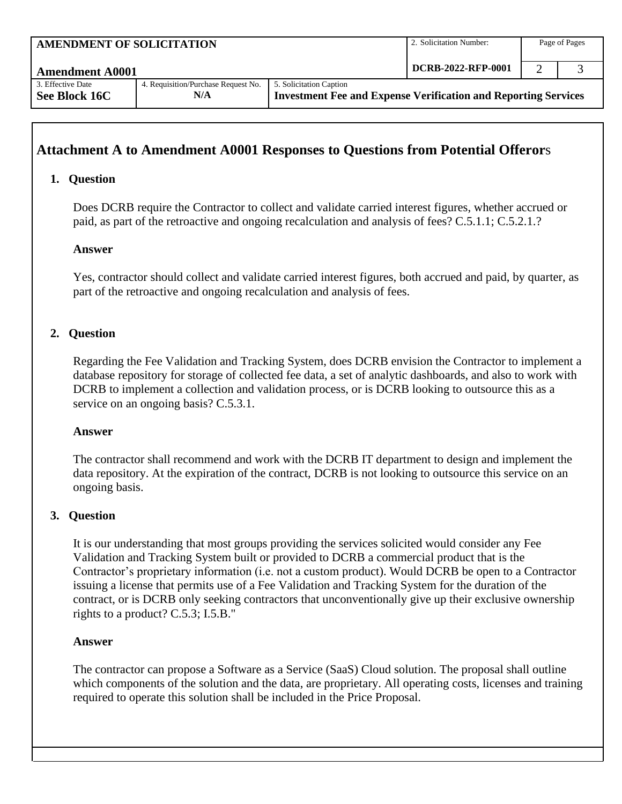| <b>AMENDMENT OF SOLICITATION</b>   |                                            | 2. Solicitation Number:                                                                          | Page of Pages |  |  |
|------------------------------------|--------------------------------------------|--------------------------------------------------------------------------------------------------|---------------|--|--|
| <b>Amendment A0001</b>             | DCRB-2022-RFP-0001                         |                                                                                                  |               |  |  |
| 3. Effective Date<br>See Block 16C | 4. Requisition/Purchase Request No.<br>N/A | 5. Solicitation Caption<br><b>Investment Fee and Expense Verification and Reporting Services</b> |               |  |  |

# **Attachment A to Amendment A0001 Responses to Questions from Potential Offeror**s

# **1. Question**

Does DCRB require the Contractor to collect and validate carried interest figures, whether accrued or paid, as part of the retroactive and ongoing recalculation and analysis of fees? C.5.1.1; C.5.2.1.?

#### **Answer**

Yes, contractor should collect and validate carried interest figures, both accrued and paid, by quarter, as part of the retroactive and ongoing recalculation and analysis of fees.

### **2. Question**

Regarding the Fee Validation and Tracking System, does DCRB envision the Contractor to implement a database repository for storage of collected fee data, a set of analytic dashboards, and also to work with DCRB to implement a collection and validation process, or is DCRB looking to outsource this as a service on an ongoing basis? C.5.3.1.

#### **Answer**

The contractor shall recommend and work with the DCRB IT department to design and implement the data repository. At the expiration of the contract, DCRB is not looking to outsource this service on an ongoing basis.

#### **3. Question**

It is our understanding that most groups providing the services solicited would consider any Fee Validation and Tracking System built or provided to DCRB a commercial product that is the Contractor's proprietary information (i.e. not a custom product). Would DCRB be open to a Contractor issuing a license that permits use of a Fee Validation and Tracking System for the duration of the contract, or is DCRB only seeking contractors that unconventionally give up their exclusive ownership rights to a product? C.5.3; I.5.B."

#### **Answer**

The contractor can propose a Software as a Service (SaaS) Cloud solution. The proposal shall outline which components of the solution and the data, are proprietary. All operating costs, licenses and training required to operate this solution shall be included in the Price Proposal.